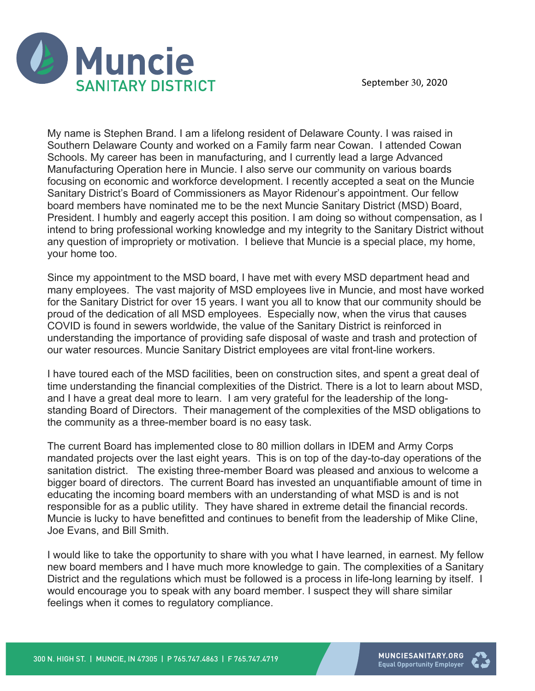

My name is Stephen Brand. I am a lifelong resident of Delaware County. I was raised in Southern Delaware County and worked on a Family farm near Cowan. I attended Cowan Schools. My career has been in manufacturing, and I currently lead a large Advanced Manufacturing Operation here in Muncie. I also serve our community on various boards focusing on economic and workforce development. I recently accepted a seat on the Muncie Sanitary District's Board of Commissioners as Mayor Ridenour's appointment. Our fellow board members have nominated me to be the next Muncie Sanitary District (MSD) Board, President. I humbly and eagerly accept this position. I am doing so without compensation, as I intend to bring professional working knowledge and my integrity to the Sanitary District without any question of impropriety or motivation. I believe that Muncie is a special place, my home, your home too.

Since my appointment to the MSD board, I have met with every MSD department head and many employees. The vast majority of MSD employees live in Muncie, and most have worked for the Sanitary District for over 15 years. I want you all to know that our community should be proud of the dedication of all MSD employees. Especially now, when the virus that causes COVID is found in sewers worldwide, the value of the Sanitary District is reinforced in understanding the importance of providing safe disposal of waste and trash and protection of our water resources. Muncie Sanitary District employees are vital front-line workers.

I have toured each of the MSD facilities, been on construction sites, and spent a great deal of time understanding the financial complexities of the District. There is a lot to learn about MSD, and I have a great deal more to learn. I am very grateful for the leadership of the longstanding Board of Directors. Their management of the complexities of the MSD obligations to the community as a three-member board is no easy task.

The current Board has implemented close to 80 million dollars in IDEM and Army Corps mandated projects over the last eight years. This is on top of the day-to-day operations of the sanitation district. The existing three-member Board was pleased and anxious to welcome a bigger board of directors. The current Board has invested an unquantifiable amount of time in educating the incoming board members with an understanding of what MSD is and is not responsible for as a public utility. They have shared in extreme detail the financial records. Muncie is lucky to have benefitted and continues to benefit from the leadership of Mike Cline, Joe Evans, and Bill Smith.

I would like to take the opportunity to share with you what I have learned, in earnest. My fellow new board members and I have much more knowledge to gain. The complexities of a Sanitary District and the regulations which must be followed is a process in life-long learning by itself. I would encourage you to speak with any board member. I suspect they will share similar feelings when it comes to regulatory compliance.

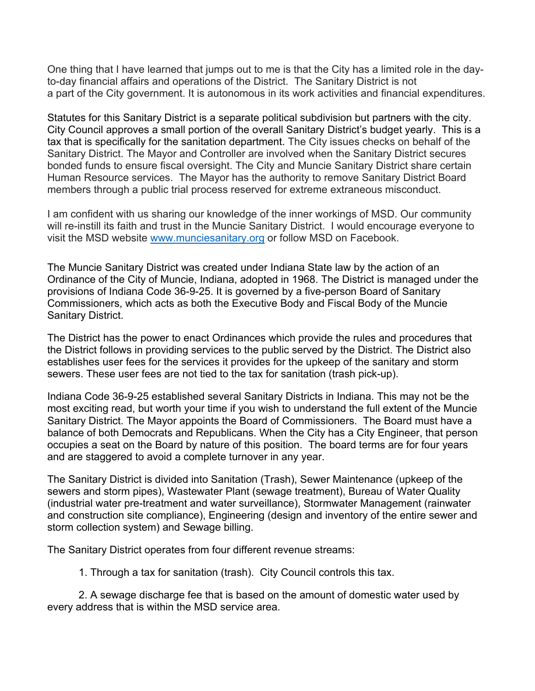One thing that I have learned that jumps out to me is that the City has a limited role in the dayto-day financial affairs and operations of the District. The Sanitary District is not a part of the City government. It is autonomous in its work activities and financial expenditures.

Statutes for this Sanitary District is a separate political subdivision but partners with the city. City Council approves a small portion of the overall Sanitary District's budget yearly. This is a tax that is specifically for the sanitation department. The City issues checks on behalf of the Sanitary District. The Mayor and Controller are involved when the Sanitary District secures bonded funds to ensure fiscal oversight. The City and Muncie Sanitary District share certain Human Resource services. The Mayor has the authority to remove Sanitary District Board members through a public trial process reserved for extreme extraneous misconduct.

I am confident with us sharing our knowledge of the inner workings of MSD. Our community will re-instill its faith and trust in the Muncie Sanitary District. I would encourage everyone to visit the MSD website www.munciesanitary.org or follow MSD on Facebook.

The Muncie Sanitary District was created under Indiana State law by the action of an Ordinance of the City of Muncie, Indiana, adopted in 1968. The District is managed under the provisions of Indiana Code 36-9-25. It is governed by a five-person Board of Sanitary Commissioners, which acts as both the Executive Body and Fiscal Body of the Muncie Sanitary District.

The District has the power to enact Ordinances which provide the rules and procedures that the District follows in providing services to the public served by the District. The District also establishes user fees for the services it provides for the upkeep of the sanitary and storm sewers. These user fees are not tied to the tax for sanitation (trash pick-up).

Indiana Code 36-9-25 established several Sanitary Districts in Indiana. This may not be the most exciting read, but worth your time if you wish to understand the full extent of the Muncie Sanitary District. The Mayor appoints the Board of Commissioners. The Board must have a balance of both Democrats and Republicans. When the City has a City Engineer, that person occupies a seat on the Board by nature of this position. The board terms are for four years and are staggered to avoid a complete turnover in any year.

The Sanitary District is divided into Sanitation (Trash), Sewer Maintenance (upkeep of the sewers and storm pipes), Wastewater Plant (sewage treatment), Bureau of Water Quality (industrial water pre-treatment and water surveillance), Stormwater Management (rainwater and construction site compliance), Engineering (design and inventory of the entire sewer and storm collection system) and Sewage billing.

The Sanitary District operates from four different revenue streams:

1. Through a tax for sanitation (trash). City Council controls this tax.

2. A sewage discharge fee that is based on the amount of domestic water used by every address that is within the MSD service area.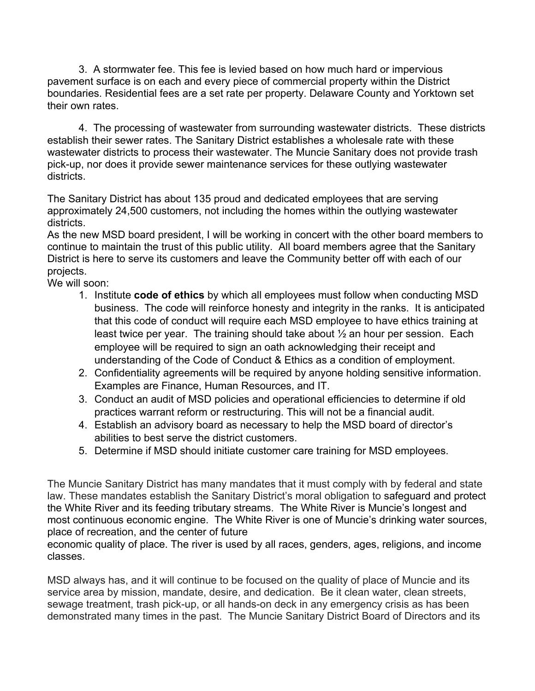3. A stormwater fee. This fee is levied based on how much hard or impervious pavement surface is on each and every piece of commercial property within the District boundaries. Residential fees are a set rate per property. Delaware County and Yorktown set their own rates.

4. The processing of wastewater from surrounding wastewater districts. These districts establish their sewer rates. The Sanitary District establishes a wholesale rate with these wastewater districts to process their wastewater. The Muncie Sanitary does not provide trash pick-up, nor does it provide sewer maintenance services for these outlying wastewater districts.

The Sanitary District has about 135 proud and dedicated employees that are serving approximately 24,500 customers, not including the homes within the outlying wastewater districts.

As the new MSD board president, I will be working in concert with the other board members to continue to maintain the trust of this public utility. All board members agree that the Sanitary District is here to serve its customers and leave the Community better off with each of our projects.

We will soon:

- 1. Institute **code of ethics** by which all employees must follow when conducting MSD business. The code will reinforce honesty and integrity in the ranks. It is anticipated that this code of conduct will require each MSD employee to have ethics training at least twice per year. The training should take about  $\frac{1}{2}$  an hour per session. Each employee will be required to sign an oath acknowledging their receipt and understanding of the Code of Conduct & Ethics as a condition of employment.
- 2. Confidentiality agreements will be required by anyone holding sensitive information. Examples are Finance, Human Resources, and IT.
- 3. Conduct an audit of MSD policies and operational efficiencies to determine if old practices warrant reform or restructuring. This will not be a financial audit.
- 4. Establish an advisory board as necessary to help the MSD board of director's abilities to best serve the district customers.
- 5. Determine if MSD should initiate customer care training for MSD employees.

The Muncie Sanitary District has many mandates that it must comply with by federal and state law. These mandates establish the Sanitary District's moral obligation to safeguard and protect the White River and its feeding tributary streams. The White River is Muncie's longest and most continuous economic engine. The White River is one of Muncie's drinking water sources, place of recreation, and the center of future

economic quality of place. The river is used by all races, genders, ages, religions, and income classes.

MSD always has, and it will continue to be focused on the quality of place of Muncie and its service area by mission, mandate, desire, and dedication. Be it clean water, clean streets, sewage treatment, trash pick-up, or all hands-on deck in any emergency crisis as has been demonstrated many times in the past. The Muncie Sanitary District Board of Directors and its